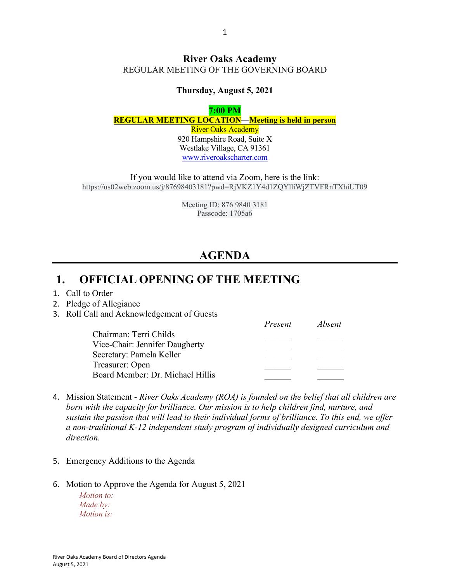### **River Oaks Academy** REGULAR MEETING OF THE GOVERNING BOARD

#### **Thursday, August 5, 2021**

#### **7:00 PM REGULAR MEETING LOCATION—Meeting is held in person** River Oaks Academy

920 Hampshire Road, Suite X Westlake Village, CA 91361 www.riveroakscharter.com

If you would like to attend via Zoom, here is the link: https://us02web.zoom.us/j/87698403181?pwd=RjVKZ1Y4d1ZQYlliWjZTVFRnTXhiUT09

> Meeting ID: 876 9840 3181 Passcode: 1705a6

# **AGENDA**

## **1. OFFICIAL OPENING OF THE MEETING**

- 1. Call to Order
- 2. Pledge of Allegiance
- 3. Roll Call and Acknowledgement of Guests

|                                  | Present | Absent |
|----------------------------------|---------|--------|
| Chairman: Terri Childs           |         |        |
| Vice-Chair: Jennifer Daugherty   |         |        |
| Secretary: Pamela Keller         |         |        |
| Treasurer: Open                  |         |        |
| Board Member: Dr. Michael Hillis |         |        |

- 4. Mission Statement *River Oaks Academy (ROA) is founded on the belief that all children are born with the capacity for brilliance. Our mission is to help children find, nurture, and sustain the passion that will lead to their individual forms of brilliance. To this end, we offer a non-traditional K-12 independent study program of individually designed curriculum and direction.*
- 5. Emergency Additions to the Agenda
- 6. Motion to Approve the Agenda for August 5, 2021

*Motion to: Made by: Motion is:*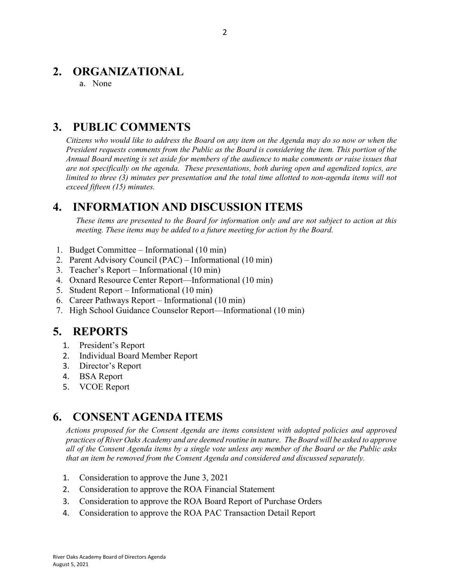## **2. ORGANIZATIONAL**

a. None

# **3. PUBLIC COMMENTS**

*Citizens who would like to address the Board on any item on the Agenda may do so now or when the President requests comments from the Public as the Board is considering the item. This portion of the Annual Board meeting is set aside for members of the audience to make comments or raise issues that are not specifically on the agenda. These presentations, both during open and agendized topics, are limited to three (3) minutes per presentation and the total time allotted to non-agenda items will not exceed fifteen (15) minutes.*

## **4. INFORMATION AND DISCUSSION ITEMS**

*These items are presented to the Board for information only and are not subject to action at this meeting. These items may be added to a future meeting for action by the Board.*

- 1. Budget Committee Informational (10 min)
- 2. Parent Advisory Council (PAC) Informational (10 min)
- 3. Teacher's Report Informational (10 min)
- 4. Oxnard Resource Center Report—Informational (10 min)
- 5. Student Report Informational (10 min)
- 6. Career Pathways Report Informational (10 min)
- 7. High School Guidance Counselor Report—Informational (10 min)

### **5. REPORTS**

- 1. President's Report
- 2. Individual Board Member Report
- 3. Director's Report
- 4. BSA Report
- 5. VCOE Report

## **6. CONSENT AGENDA ITEMS**

*Actions proposed for the Consent Agenda are items consistent with adopted policies and approved practices of River Oaks Academy and are deemed routine in nature. The Board will be asked to approve all of the Consent Agenda items by a single vote unless any member of the Board or the Public asks that an item be removed from the Consent Agenda and considered and discussed separately.*

- 1. Consideration to approve the June 3, 2021
- 2. Consideration to approve the ROA Financial Statement
- 3. Consideration to approve the ROA Board Report of Purchase Orders
- 4. Consideration to approve the ROA PAC Transaction Detail Report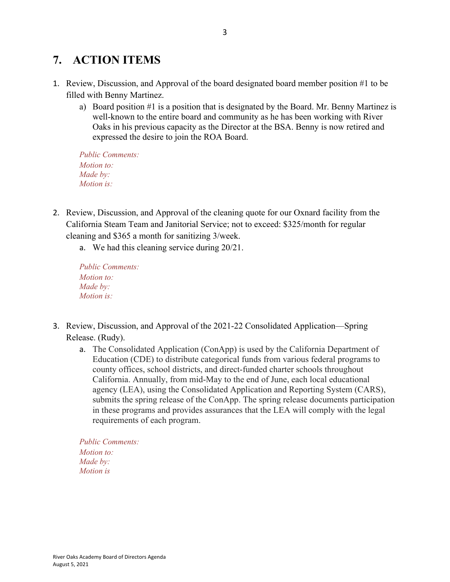# **7. ACTION ITEMS**

- 1. Review, Discussion, and Approval of the board designated board member position #1 to be filled with Benny Martinez.
	- a) Board position #1 is a position that is designated by the Board. Mr. Benny Martinez is well-known to the entire board and community as he has been working with River Oaks in his previous capacity as the Director at the BSA. Benny is now retired and expressed the desire to join the ROA Board.

*Public Comments: Motion to: Made by: Motion is:*

- 2. Review, Discussion, and Approval of the cleaning quote for our Oxnard facility from the California Steam Team and Janitorial Service; not to exceed: \$325/month for regular cleaning and \$365 a month for sanitizing 3/week.
	- a. We had this cleaning service during 20/21.

*Public Comments: Motion to: Made by: Motion is:*

- 3. Review, Discussion, and Approval of the 2021-22 Consolidated Application—Spring Release. (Rudy).
	- a. The Consolidated Application (ConApp) is used by the California Department of Education (CDE) to distribute categorical funds from various federal programs to county offices, school districts, and direct-funded charter schools throughout California. Annually, from mid-May to the end of June, each local educational agency (LEA), using the Consolidated Application and Reporting System (CARS), submits the spring release of the ConApp. The spring release documents participation in these programs and provides assurances that the LEA will comply with the legal requirements of each program.

*Public Comments: Motion to: Made by: Motion is*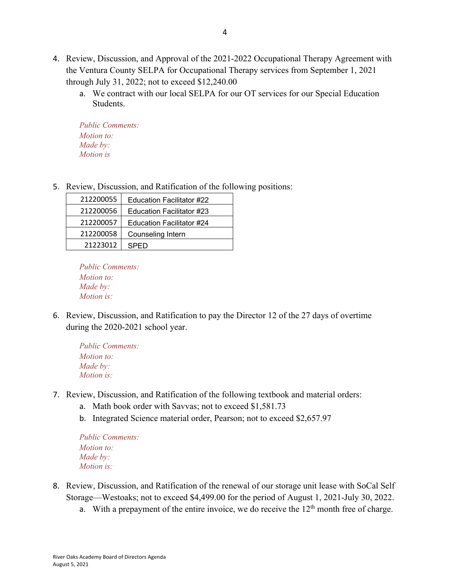- 4. Review, Discussion, and Approval of the 2021-2022 Occupational Therapy Agreement with the Ventura County SELPA for Occupational Therapy services from September 1, 2021 through July 31, 2022; not to exceed \$12,240.00
	- a. We contract with our local SELPA for our OT services for our Special Education Students.

*Public Comments: Motion to: Made by: Motion is*

5. Review, Discussion, and Ratification of the following positions:

| 212200055 | Education Facilitator #22 |
|-----------|---------------------------|
| 212200056 | Education Facilitator #23 |
| 212200057 | Education Facilitator #24 |
| 212200058 | Counseling Intern         |
| 21223012  | SPFD                      |

*Public Comments: Motion to: Made by: Motion is:*

6. Review, Discussion, and Ratification to pay the Director 12 of the 27 days of overtime during the 2020-2021 school year.

*Public Comments: Motion to: Made by: Motion is:*

- 7. Review, Discussion, and Ratification of the following textbook and material orders:
	- a. Math book order with Savvas; not to exceed \$1,581.73
	- b. Integrated Science material order, Pearson; not to exceed \$2,657.97

*Public Comments: Motion to: Made by: Motion is:*

- 8. Review, Discussion, and Ratification of the renewal of our storage unit lease with SoCal Self Storage—Westoaks; not to exceed \$4,499.00 for the period of August 1, 2021-July 30, 2022.
	- a. With a prepayment of the entire invoice, we do receive the  $12<sup>th</sup>$  month free of charge.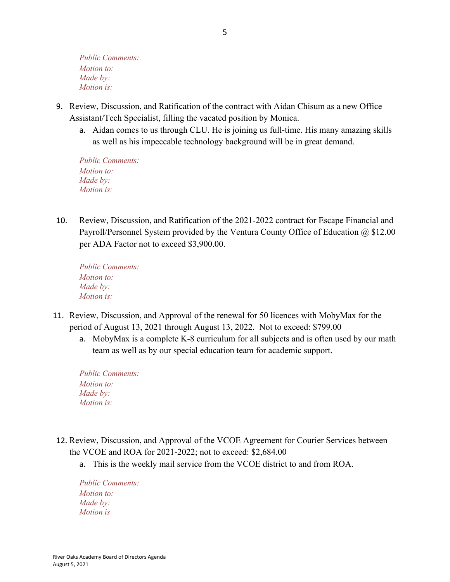*Public Comments: Motion to: Made by: Motion is:*

- 9. Review, Discussion, and Ratification of the contract with Aidan Chisum as a new Office Assistant/Tech Specialist, filling the vacated position by Monica.
	- a. Aidan comes to us through CLU. He is joining us full-time. His many amazing skills as well as his impeccable technology background will be in great demand.

*Public Comments: Motion to: Made by: Motion is:*

10. Review, Discussion, and Ratification of the 2021-2022 contract for Escape Financial and Payroll/Personnel System provided by the Ventura County Office of Education @ \$12.00 per ADA Factor not to exceed \$3,900.00.

*Public Comments: Motion to: Made by: Motion is:*

- 11. Review, Discussion, and Approval of the renewal for 50 licences with MobyMax for the period of August 13, 2021 through August 13, 2022. Not to exceed: \$799.00
	- a. MobyMax is a complete K-8 curriculum for all subjects and is often used by our math team as well as by our special education team for academic support.

| <b>Public Comments:</b> |
|-------------------------|
| <i>Motion to:</i>       |
| Made by:                |
| <i>Motion is:</i>       |

- 12. Review, Discussion, and Approval of the VCOE Agreement for Courier Services between the VCOE and ROA for 2021-2022; not to exceed: \$2,684.00
	- a. This is the weekly mail service from the VCOE district to and from ROA.

*Public Comments: Motion to: Made by: Motion is*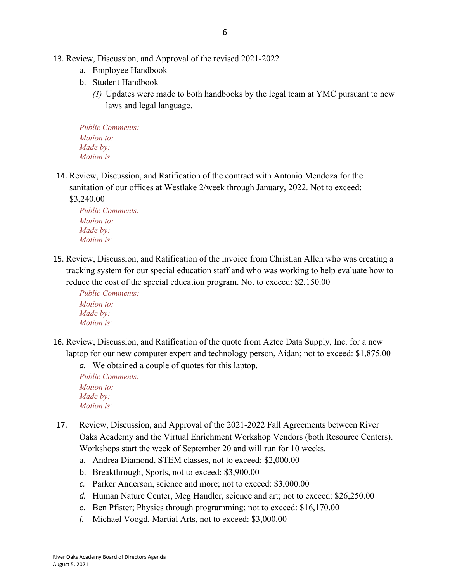- 13. Review, Discussion, and Approval of the revised 2021-2022
	- a. Employee Handbook
	- b. Student Handbook
		- *(1)* Updates were made to both handbooks by the legal team at YMC pursuant to new laws and legal language.

*Public Comments: Motion to: Made by: Motion is*

14. Review, Discussion, and Ratification of the contract with Antonio Mendoza for the sanitation of our offices at Westlake 2/week through January, 2022. Not to exceed:

\$3,240.00

*Public Comments: Motion to: Made by: Motion is:*

15. Review, Discussion, and Ratification of the invoice from Christian Allen who was creating a tracking system for our special education staff and who was working to help evaluate how to reduce the cost of the special education program. Not to exceed: \$2,150.00

*Public Comments: Motion to: Made by: Motion is:*

16. Review, Discussion, and Ratification of the quote from Aztec Data Supply, Inc. for a new laptop for our new computer expert and technology person, Aidan; not to exceed: \$1,875.00

*a.* We obtained a couple of quotes for this laptop.

*Public Comments: Motion to: Made by: Motion is:*

- 17. Review, Discussion, and Approval of the 2021-2022 Fall Agreements between River Oaks Academy and the Virtual Enrichment Workshop Vendors (both Resource Centers). Workshops start the week of September 20 and will run for 10 weeks.
	- a. Andrea Diamond, STEM classes, not to exceed: \$2,000.00
	- b. Breakthrough, Sports, not to exceed: \$3,900.00
	- *c.* Parker Anderson, science and more; not to exceed: \$3,000.00
	- *d.* Human Nature Center, Meg Handler, science and art; not to exceed: \$26,250.00
	- *e.* Ben Pfister; Physics through programming; not to exceed: \$16,170.00
	- *f.* Michael Voogd, Martial Arts, not to exceed: \$3,000.00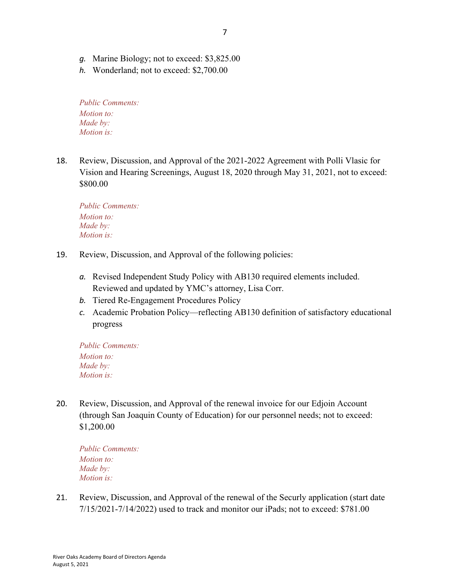- *g.* Marine Biology; not to exceed: \$3,825.00
- *h.* Wonderland; not to exceed: \$2,700.00

*Public Comments: Motion to: Made by: Motion is:*

18. Review, Discussion, and Approval of the 2021-2022 Agreement with Polli Vlasic for Vision and Hearing Screenings, August 18, 2020 through May 31, 2021, not to exceed: \$800.00

*Public Comments: Motion to: Made by: Motion is:*

- 19. Review, Discussion, and Approval of the following policies:
	- *a.* Revised Independent Study Policy with AB130 required elements included. Reviewed and updated by YMC's attorney, Lisa Corr.
	- *b.* Tiered Re-Engagement Procedures Policy
	- *c.* Academic Probation Policy—reflecting AB130 definition of satisfactory educational progress

*Public Comments: Motion to: Made by: Motion is:*

20. Review, Discussion, and Approval of the renewal invoice for our Edjoin Account (through San Joaquin County of Education) for our personnel needs; not to exceed: \$1,200.00

*Public Comments: Motion to: Made by: Motion is:*

21. Review, Discussion, and Approval of the renewal of the Securly application (start date 7/15/2021-7/14/2022) used to track and monitor our iPads; not to exceed: \$781.00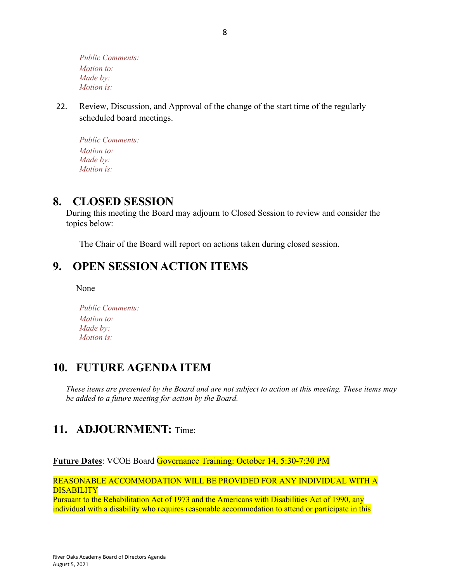*Public Comments: Motion to: Made by: Motion is:*

22. Review, Discussion, and Approval of the change of the start time of the regularly scheduled board meetings.

*Public Comments: Motion to: Made by: Motion is:*

### **8. CLOSED SESSION**

During this meeting the Board may adjourn to Closed Session to review and consider the topics below:

The Chair of the Board will report on actions taken during closed session.

## **9. OPEN SESSION ACTION ITEMS**

None

*Public Comments: Motion to: Made by: Motion is:*

# **10. FUTURE AGENDA ITEM**

*These items are presented by the Board and are not subject to action at this meeting. These items may be added to a future meeting for action by the Board.*

# **11. ADJOURNMENT:** Time:

**Future Dates**: VCOE Board Governance Training: October 14, 5:30-7:30 PM

REASONABLE ACCOMMODATION WILL BE PROVIDED FOR ANY INDIVIDUAL WITH A **DISABILITY** 

Pursuant to the Rehabilitation Act of 1973 and the Americans with Disabilities Act of 1990, any individual with a disability who requires reasonable accommodation to attend or participate in this